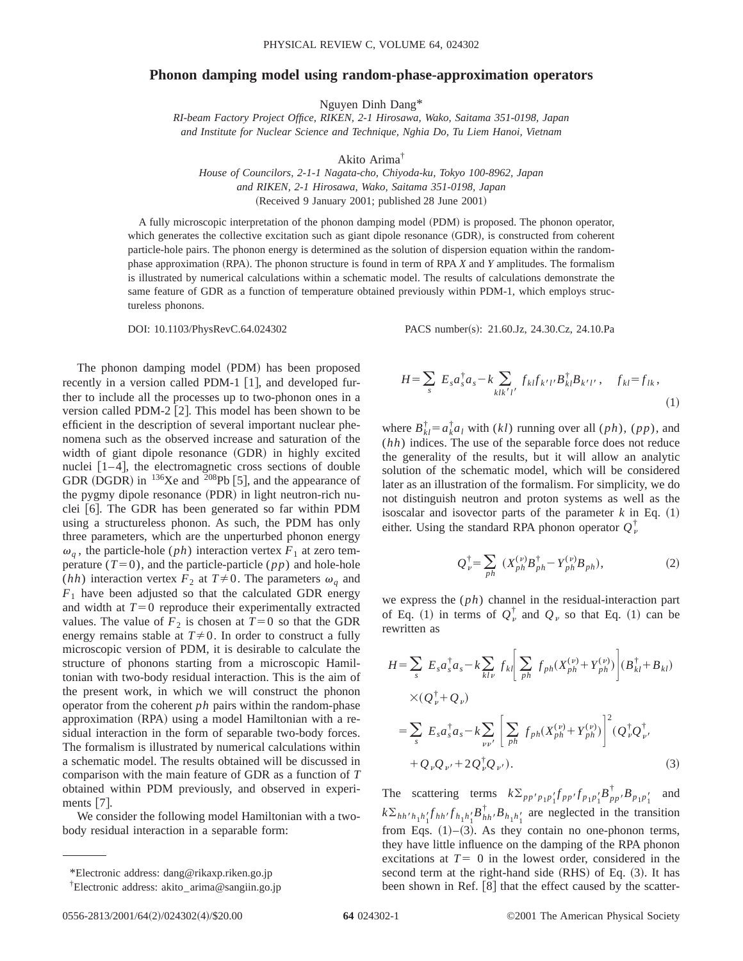## **Phonon damping model using random-phase-approximation operators**

Nguyen Dinh Dang\*

*RI-beam Factory Project Office, RIKEN, 2-1 Hirosawa, Wako, Saitama 351-0198, Japan and Institute for Nuclear Science and Technique, Nghia Do, Tu Liem Hanoi, Vietnam*

Akito Arima†

*House of Councilors, 2-1-1 Nagata-cho, Chiyoda-ku, Tokyo 100-8962, Japan and RIKEN, 2-1 Hirosawa, Wako, Saitama 351-0198, Japan* (Received 9 January 2001; published 28 June 2001)

A fully microscopic interpretation of the phonon damping model (PDM) is proposed. The phonon operator, which generates the collective excitation such as giant dipole resonance (GDR), is constructed from coherent particle-hole pairs. The phonon energy is determined as the solution of dispersion equation within the randomphase approximation (RPA). The phonon structure is found in term of RPA *X* and *Y* amplitudes. The formalism is illustrated by numerical calculations within a schematic model. The results of calculations demonstrate the same feature of GDR as a function of temperature obtained previously within PDM-1, which employs structureless phonons.

DOI: 10.1103/PhysRevC.64.024302 PACS number(s): 21.60.Jz, 24.30.Cz, 24.10.Pa

The phonon damping model (PDM) has been proposed recently in a version called PDM-1  $\lceil 1 \rceil$ , and developed further to include all the processes up to two-phonon ones in a version called PDM-2  $[2]$ . This model has been shown to be efficient in the description of several important nuclear phenomena such as the observed increase and saturation of the width of giant dipole resonance (GDR) in highly excited nuclei  $[1-4]$ , the electromagnetic cross sections of double GDR (DGDR) in  $^{136}$ Xe and  $^{208}$ Pb [5], and the appearance of the pygmy dipole resonance  $(PDR)$  in light neutron-rich nuclei  $[6]$ . The GDR has been generated so far within PDM using a structureless phonon. As such, the PDM has only three parameters, which are the unperturbed phonon energy  $\omega_q$ , the particle-hole (*ph*) interaction vertex  $F_1$  at zero temperature  $(T=0)$ , and the particle-particle  $(pp)$  and hole-hole (*hh*) interaction vertex  $F_2$  at  $T \neq 0$ . The parameters  $\omega_q$  and  $F_1$  have been adjusted so that the calculated GDR energy and width at  $T=0$  reproduce their experimentally extracted values. The value of  $F_2$  is chosen at  $T=0$  so that the GDR energy remains stable at  $T\neq 0$ . In order to construct a fully microscopic version of PDM, it is desirable to calculate the structure of phonons starting from a microscopic Hamiltonian with two-body residual interaction. This is the aim of the present work, in which we will construct the phonon operator from the coherent *ph* pairs within the random-phase approximation (RPA) using a model Hamiltonian with a residual interaction in the form of separable two-body forces. The formalism is illustrated by numerical calculations within a schematic model. The results obtained will be discussed in comparison with the main feature of GDR as a function of *T* obtained within PDM previously, and observed in experiments  $|7|$ .

We consider the following model Hamiltonian with a twobody residual interaction in a separable form:

$$
H = \sum_{s} E_{s} a_{s}^{\dagger} a_{s} - k \sum_{k l k' l'} f_{k l} f_{k' l'} B_{k l}^{\dagger} B_{k' l'}, \quad f_{k l} = f_{l k},
$$
\n(1)

where  $B_{kl}^{\dagger} = a_k^{\dagger} a_l$  with  $(kl)$  running over all  $(ph)$ ,  $(pp)$ , and (*hh*) indices. The use of the separable force does not reduce the generality of the results, but it will allow an analytic solution of the schematic model, which will be considered later as an illustration of the formalism. For simplicity, we do not distinguish neutron and proton systems as well as the isoscalar and isovector parts of the parameter  $k$  in Eq.  $(1)$ either. Using the standard RPA phonon operator  $Q_{\nu}^{\dagger}$ 

$$
Q_{\nu}^{\dagger} = \sum_{ph} \left( X_{ph}^{(\nu)} B_{ph}^{\dagger} - Y_{ph}^{(\nu)} B_{ph} \right), \tag{2}
$$

we express the (*ph*) channel in the residual-interaction part of Eq. (1) in terms of  $Q_{\nu}^{\dagger}$  and  $Q_{\nu}$  so that Eq. (1) can be rewritten as

$$
H = \sum_{s} E_{s} a_{s}^{\dagger} a_{s} - k \sum_{kl\nu} f_{kl} \left[ \sum_{ph} f_{ph} (X_{ph}^{(\nu)} + Y_{ph}^{(\nu)}) \right] (B_{kl}^{\dagger} + B_{kl})
$$
  
 
$$
\times (Q_{\nu}^{\dagger} + Q_{\nu})
$$
  

$$
= \sum_{s} E_{s} a_{s}^{\dagger} a_{s} - k \sum_{\nu\nu'} \left[ \sum_{ph} f_{ph} (X_{ph}^{(\nu)} + Y_{ph}^{(\nu)}) \right]^{2} (Q_{\nu}^{\dagger} Q_{\nu'}^{\dagger})
$$
  

$$
+ Q_{\nu} Q_{\nu'} + 2 Q_{\nu}^{\dagger} Q_{\nu'}).
$$
 (3)

The scattering terms  $k \sum_{p p' p_1 p'_1} f_{p p'} f_{p_1 p'_1} B_{p p'}^{\dagger} B_{p_1 p'_1}$  and  $k \sum_{hh/h_1} h_1' f_{hh} f h_1 h_1' B_{hh}^{\dagger} B_{h_1 h_1'}$  are neglected in the transition from Eqs.  $(1)$ – $(3)$ . As they contain no one-phonon terms, they have little influence on the damping of the RPA phonon excitations at  $T=0$  in the lowest order, considered in the second term at the right-hand side  $(RHS)$  of Eq.  $(3)$ . It has been shown in Ref.  $[8]$  that the effect caused by the scatter-

<sup>\*</sup>Electronic address: dang@rikaxp.riken.go.jp

<sup>†</sup> Electronic address: akito–arima@sangiin.go.jp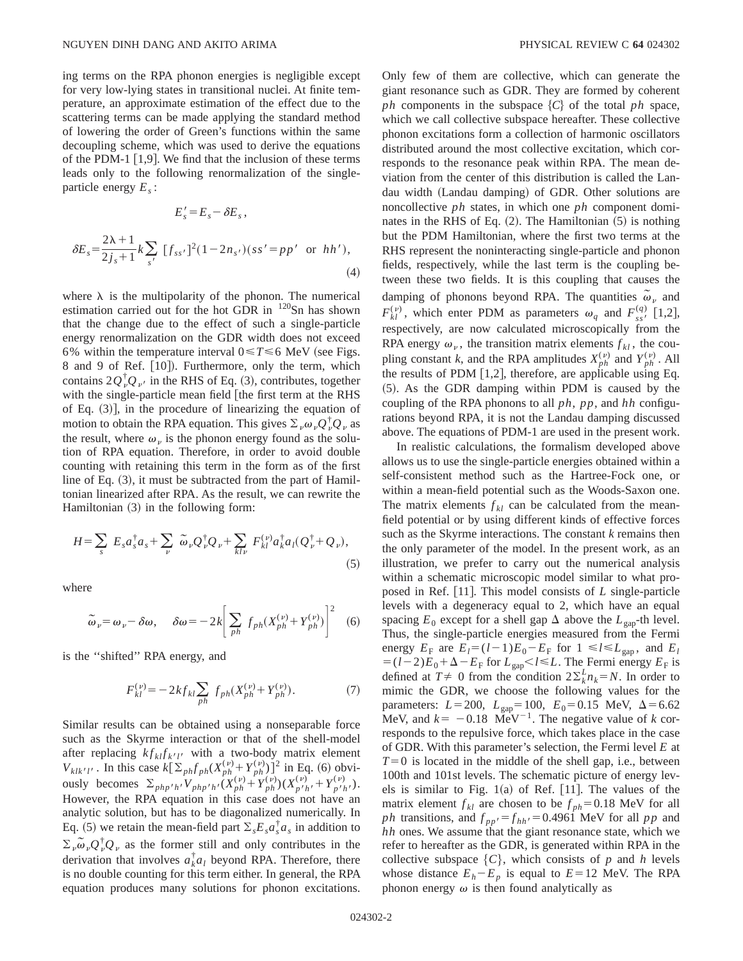ing terms on the RPA phonon energies is negligible except for very low-lying states in transitional nuclei. At finite temperature, an approximate estimation of the effect due to the scattering terms can be made applying the standard method of lowering the order of Green's functions within the same decoupling scheme, which was used to derive the equations of the PDM-1  $[1,9]$ . We find that the inclusion of these terms leads only to the following renormalization of the singleparticle energy *Es* :

$$
E'_{s} = E_{s} - \delta E_{s},
$$
  

$$
\delta E_{s} = \frac{2\lambda + 1}{2j_{s} + 1} k \sum_{s'} [f_{ss'}]^{2} (1 - 2n_{s'})(ss' = pp' \text{ or } hh'),
$$
  
(4)

where  $\lambda$  is the multipolarity of the phonon. The numerical estimation carried out for the hot GDR in  $120$ Sn has shown that the change due to the effect of such a single-particle energy renormalization on the GDR width does not exceed 6% within the temperature interval  $0 \le T \le 6$  MeV (see Figs. 8 and 9 of Ref. [10]). Furthermore, only the term, which contains  $2Q_v^{\dagger}Q_v$  in the RHS of Eq. (3), contributes, together with the single-particle mean field [the first term at the RHS of Eq.  $(3)$ , in the procedure of linearizing the equation of motion to obtain the RPA equation. This gives  $\Sigma_{\nu} \omega_{\nu} Q_{\nu}^{\dagger} Q_{\nu}$  as the result, where  $\omega_{\nu}$  is the phonon energy found as the solution of RPA equation. Therefore, in order to avoid double counting with retaining this term in the form as of the first line of Eq.  $(3)$ , it must be subtracted from the part of Hamiltonian linearized after RPA. As the result, we can rewrite the Hamiltonian  $(3)$  in the following form:

$$
H = \sum_{s} E_{s} a_{s}^{\dagger} a_{s} + \sum_{\nu} \widetilde{\omega}_{\nu} Q_{\nu}^{\dagger} Q_{\nu} + \sum_{kl\nu} F_{kl}^{(\nu)} a_{k}^{\dagger} a_{l} (Q_{\nu}^{\dagger} + Q_{\nu}),
$$
\n(5)

where

$$
\widetilde{\omega}_{\nu} = \omega_{\nu} - \delta \omega, \quad \delta \omega = -2k \bigg[ \sum_{ph} f_{ph}(X_{ph}^{(\nu)} + Y_{ph}^{(\nu)}) \bigg]^2 \quad (6)
$$

is the ''shifted'' RPA energy, and

$$
F_{kl}^{(\nu)} = -2kf_{kl} \sum_{ph} f_{ph}(X_{ph}^{(\nu)} + Y_{ph}^{(\nu)}).
$$
 (7)

Similar results can be obtained using a nonseparable force such as the Skyrme interaction or that of the shell-model after replacing  $kf_{kl}f_{k'l'}$  with a two-body matrix element *V<sub>klk'l'</sub>* . In this case  $k[\Sigma_{ph} f_{ph}(X_{ph}^{(\nu)} + Y_{ph}^{(\nu)})]^2$  in Eq. (6) obviously becomes  $\sum_{php'h'} V_{php'h'} (X_{ph}^{(\nu)} + Y_{ph}^{(\nu)}) (X_{p'h'}^{(\nu)} + Y_{p'h'}^{(\nu)})$ . However, the RPA equation in this case does not have an analytic solution, but has to be diagonalized numerically. In Eq. (5) we retain the mean-field part  $\Sigma_s E_s a_s^{\dagger} a_s$  in addition to  $\sum_{\nu} \omega_{\nu} Q_{\nu}^{\dagger} Q_{\nu}$  as the former still and only contributes in the derivation that involves  $a_k^{\dagger} a_l$  beyond RPA. Therefore, there is no double counting for this term either. In general, the RPA equation produces many solutions for phonon excitations. Only few of them are collective, which can generate the giant resonance such as GDR. They are formed by coherent *ph* components in the subspace  $\{C\}$  of the total *ph* space, which we call collective subspace hereafter. These collective phonon excitations form a collection of harmonic oscillators distributed around the most collective excitation, which corresponds to the resonance peak within RPA. The mean deviation from the center of this distribution is called the Landau width (Landau damping) of GDR. Other solutions are noncollective *ph* states, in which one *ph* component dominates in the RHS of Eq.  $(2)$ . The Hamiltonian  $(5)$  is nothing but the PDM Hamiltonian, where the first two terms at the RHS represent the noninteracting single-particle and phonon fields, respectively, while the last term is the coupling between these two fields. It is this coupling that causes the damping of phonons beyond RPA. The quantities  $\tilde{\omega}_v$  and  $F_{kl}^{(\nu)}$ , which enter PDM as parameters  $\omega_q$  and  $F_{ss}^{(q)}$  [1,2], respectively, are now calculated microscopically from the RPA energy  $\omega_{\nu}$ , the transition matrix elements  $f_{kl}$ , the coupling constant *k*, and the RPA amplitudes  $X_{ph}^{(\nu)}$  and  $Y_{ph}^{(\nu)}$ . All the results of PDM  $[1,2]$ , therefore, are applicable using Eq. ~5!. As the GDR damping within PDM is caused by the coupling of the RPA phonons to all *ph*, *pp*, and *hh* configurations beyond RPA, it is not the Landau damping discussed above. The equations of PDM-1 are used in the present work.

In realistic calculations, the formalism developed above allows us to use the single-particle energies obtained within a self-consistent method such as the Hartree-Fock one, or within a mean-field potential such as the Woods-Saxon one. The matrix elements  $f_{kl}$  can be calculated from the meanfield potential or by using different kinds of effective forces such as the Skyrme interactions. The constant *k* remains then the only parameter of the model. In the present work, as an illustration, we prefer to carry out the numerical analysis within a schematic microscopic model similar to what proposed in Ref. [11]. This model consists of *L* single-particle levels with a degeneracy equal to 2, which have an equal spacing  $E_0$  except for a shell gap  $\Delta$  above the  $L_{\text{gap}}$ -th level. Thus, the single-particle energies measured from the Fermi energy  $E_F$  are  $E_l = (l-1)E_0 - E_F$  for  $1 \le l \le L_{\text{gap}}$ , and  $E_l$  $=$   $(l-2)E_0+\Delta-E_F$  for  $L_{\text{gap}}$   $\leq l \leq L$ . The Fermi energy  $E_F$  is defined at  $T \neq 0$  from the condition  $2\Sigma_k^L n_k = N$ . In order to mimic the GDR, we choose the following values for the parameters:  $L=200$ ,  $L_{\text{gap}}=100$ ,  $E_0=0.15$  MeV,  $\Delta=6.62$ MeV, and  $k = -0.18$  MeV<sup>-1</sup>. The negative value of *k* corresponds to the repulsive force, which takes place in the case of GDR. With this parameter's selection, the Fermi level *E* at  $T=0$  is located in the middle of the shell gap, i.e., between 100th and 101st levels. The schematic picture of energy levels is similar to Fig.  $1(a)$  of Ref. [11]. The values of the matrix element  $f_{kl}$  are chosen to be  $f_{ph} = 0.18$  MeV for all *ph* transitions, and  $f_{pp'} = f_{hh'} = 0.4961$  MeV for all *pp* and *hh* ones. We assume that the giant resonance state, which we refer to hereafter as the GDR, is generated within RPA in the collective subspace  $\{C\}$ , which consists of *p* and *h* levels whose distance  $E_h - E_p$  is equal to  $E = 12$  MeV. The RPA phonon energy  $\omega$  is then found analytically as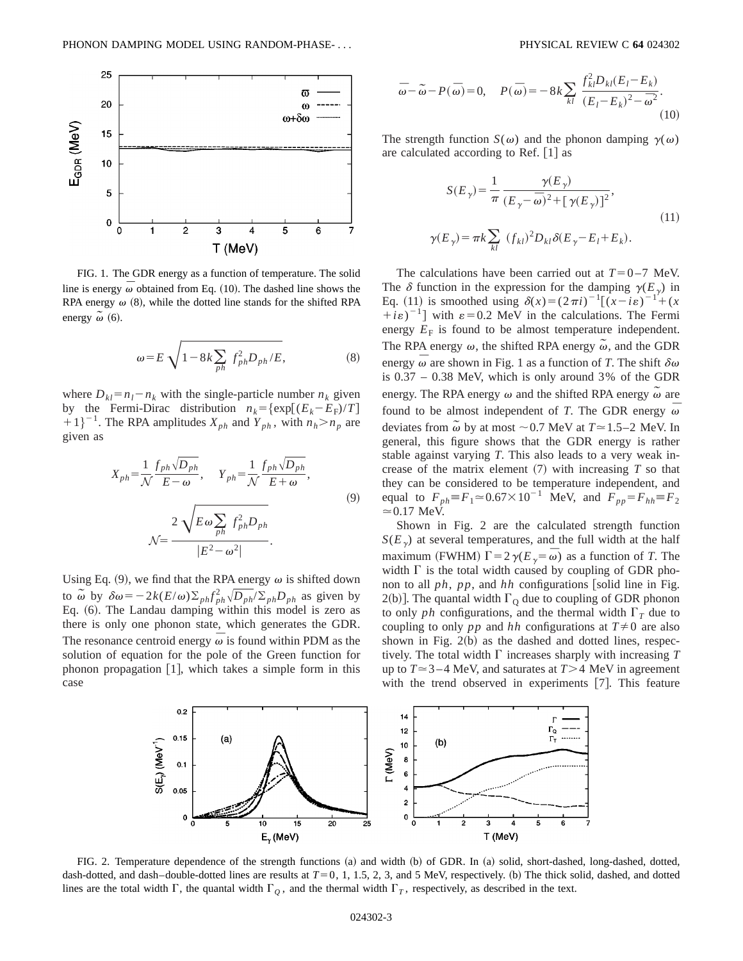

FIG. 1. The GDR energy as a function of temperature. The solid line is energy  $\overline{\omega}$  obtained from Eq. (10). The dashed line shows the RPA energy  $\omega$  (8), while the dotted line stands for the shifted RPA energy  $\tilde{\omega}$  (6).

$$
\omega = E \sqrt{1 - 8k \sum_{ph} f_{ph}^2 D_{ph}/E},\tag{8}
$$

where  $D_{kl} = n_l - n_k$  with the single-particle number  $n_k$  given by the Fermi-Dirac distribution  $n_k = {\exp[(E_k - E_F)/T]}$  $(1+1)^{-1}$ . The RPA amplitudes  $X_{ph}$  and  $Y_{ph}$ , with  $n_h > n_p$  are given as

$$
X_{ph} = \frac{1}{N} \frac{f_{ph} \sqrt{D_{ph}}}{E - \omega}, \quad Y_{ph} = \frac{1}{N} \frac{f_{ph} \sqrt{D_{ph}}}{E + \omega},
$$
  

$$
N = \frac{2 \sqrt{E \omega \sum_{ph} f_{ph}^2 D_{ph}}}{|E^2 - \omega^2|}.
$$
  
(9)

Using Eq. (9), we find that the RPA energy  $\omega$  is shifted down to  $\tilde{\omega}$  by  $\delta \omega = -2k(E/\omega)\sum_{ph} f_{ph}^2 \sqrt{D_{ph}}/E_{ph}D_{ph}$  as given by Eq.  $(6)$ . The Landau damping within this model is zero as there is only one phonon state, which generates the GDR. The resonance centroid energy  $\overline{\omega}$  is found within PDM as the solution of equation for the pole of the Green function for phonon propagation  $[1]$ , which takes a simple form in this case

$$
\overline{\omega} - \widetilde{\omega} - P(\overline{\omega}) = 0, \quad P(\overline{\omega}) = -8k \sum_{kl} \frac{f_{kl}^2 D_{kl} (E_l - E_k)}{(E_l - E_k)^2 - \overline{\omega}^2}.
$$
\n(10)

The strength function  $S(\omega)$  and the phonon damping  $\gamma(\omega)$ are calculated according to Ref.  $\lceil 1 \rceil$  as

$$
S(E_{\gamma}) = \frac{1}{\pi} \frac{\gamma(E_{\gamma})}{(E_{\gamma} - \bar{\omega})^2 + [\gamma(E_{\gamma})]^2},
$$
  

$$
\gamma(E_{\gamma}) = \pi k \sum_{kl} (f_{kl})^2 D_{kl} \delta(E_{\gamma} - E_l + E_k).
$$
 (11)

The calculations have been carried out at  $T=0-7$  MeV. The  $\delta$  function in the expression for the damping  $\gamma(E_{\gamma})$  in Eq. (11) is smoothed using  $\delta(x) = (2\pi i)^{-1}[(x - i\varepsilon)^{-1} + (x$  $+i\epsilon$ <sup>-1</sup>] with  $\epsilon$ =0.2 MeV in the calculations. The Fermi energy  $E_F$  is found to be almost temperature independent. The RPA energy  $\omega$ , the shifted RPA energy  $\tilde{\omega}$ , and the GDR energy  $\overline{\omega}$  are shown in Fig. 1 as a function of *T*. The shift  $\delta \omega$ is 0.37 – 0.38 MeV, which is only around 3% of the GDR energy. The RPA energy  $\omega$  and the shifted RPA energy  $\tilde{\omega}$  are found to be almost independent of *T*. The GDR energy  $\overline{\omega}$ deviates from  $\tilde{\omega}$  by at most  $\sim$  0.7 MeV at *T* $\approx$  1.5–2 MeV. In general, this figure shows that the GDR energy is rather stable against varying *T*. This also leads to a very weak increase of the matrix element  $(7)$  with increasing  $T$  so that they can be considered to be temperature independent, and equal to  $F_{ph} = F_1 \approx 0.67 \times 10^{-1}$  MeV, and  $F_{pp} = F_{hh} = F_2$  $\approx 0.17$  MeV.

Shown in Fig. 2 are the calculated strength function  $S(E<sub>y</sub>)$  at several temperatures, and the full width at the half maximum (FWHM)  $\Gamma = 2\gamma(E_{\gamma} = \omega)$  as a function of *T*. The width  $\Gamma$  is the total width caused by coupling of GDR phonon to all  $ph$ ,  $pp$ , and  $hh$  configurations [solid line in Fig. 2(b)]. The quantal width  $\Gamma_{\text{Q}}$  due to coupling of GDR phonon to only *ph* configurations, and the thermal width  $\Gamma_T$  due to coupling to only *pp* and *hh* configurations at  $T \neq 0$  are also shown in Fig.  $2(b)$  as the dashed and dotted lines, respectively. The total width  $\Gamma$  increases sharply with increasing  $T$ up to  $T \approx 3-4$  MeV, and saturates at  $T > 4$  MeV in agreement with the trend observed in experiments  $[7]$ . This feature



FIG. 2. Temperature dependence of the strength functions (a) and width (b) of GDR. In (a) solid, short-dashed, long-dashed, dotted, dash-dotted, and dash-double-dotted lines are results at  $T=0$ , 1, 1.5, 2, 3, and 5 MeV, respectively. (b) The thick solid, dashed, and dotted lines are the total width  $\Gamma$ , the quantal width  $\Gamma_Q$ , and the thermal width  $\Gamma_T$ , respectively, as described in the text.